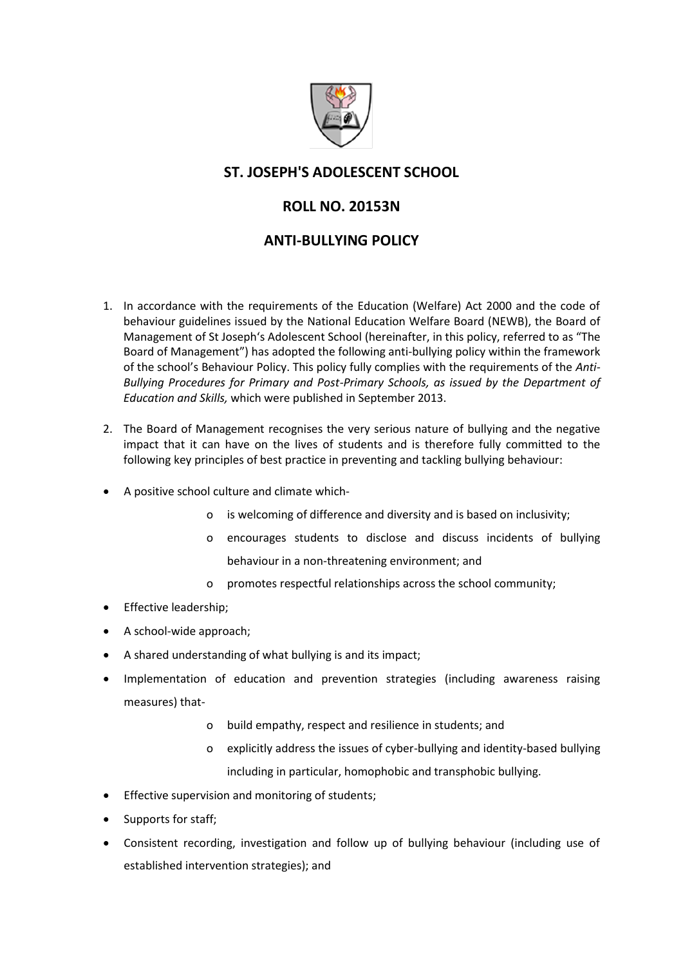

# **ST. JOSEPH'S ADOLESCENT SCHOOL**

# **ROLL NO. 20153N**

# **ANTI-BULLYING POLICY**

- 1. In accordance with the requirements of the Education (Welfare) Act 2000 and the code of behaviour guidelines issued by the National Education Welfare Board (NEWB), the Board of Management of St Joseph's Adolescent School (hereinafter, in this policy, referred to as "The Board of Management") has adopted the following anti-bullying policy within the framework of the school's Behaviour Policy. This policy fully complies with the requirements of the *Anti-Bullying Procedures for Primary and Post-Primary Schools, as issued by the Department of Education and Skills,* which were published in September 2013.
- 2. The Board of Management recognises the very serious nature of bullying and the negative impact that it can have on the lives of students and is therefore fully committed to the following key principles of best practice in preventing and tackling bullying behaviour:
- A positive school culture and climate which
	- o is welcoming of difference and diversity and is based on inclusivity;
	- o encourages students to disclose and discuss incidents of bullying behaviour in a non-threatening environment; and
	- o promotes respectful relationships across the school community;
- **•** Effective leadership;
- A school-wide approach;
- A shared understanding of what bullying is and its impact;
- Implementation of education and prevention strategies (including awareness raising measures) that
	- o build empathy, respect and resilience in students; and
	- o explicitly address the issues of cyber-bullying and identity-based bullying including in particular, homophobic and transphobic bullying.
- Effective supervision and monitoring of students;
- Supports for staff;
- Consistent recording, investigation and follow up of bullying behaviour (including use of established intervention strategies); and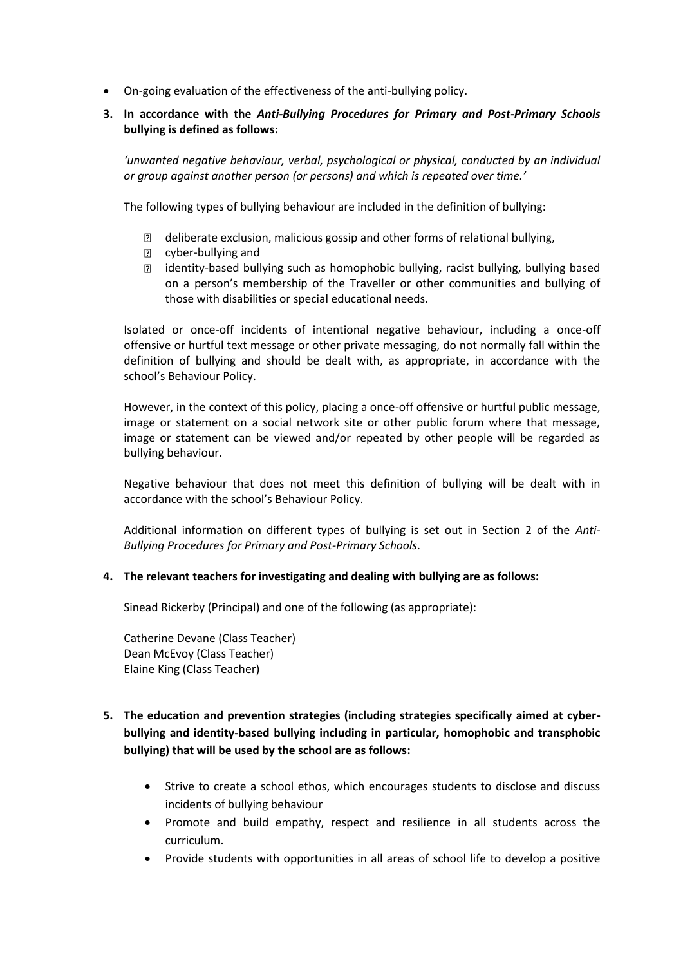On-going evaluation of the effectiveness of the anti-bullying policy.

#### **3. In accordance with the** *Anti-Bullying Procedures for Primary and Post-Primary Schools* **bullying is defined as follows:**

*'unwanted negative behaviour, verbal, psychological or physical, conducted by an individual or group against another person (or persons) and which is repeated over time.'*

The following types of bullying behaviour are included in the definition of bullying:

- $\mathbb D$  deliberate exclusion, malicious gossip and other forms of relational bullying,
- **2** cyber-bullying and
- identity-based bullying such as homophobic bullying, racist bullying, bullying based on a person's membership of the Traveller or other communities and bullying of those with disabilities or special educational needs.

Isolated or once-off incidents of intentional negative behaviour, including a once-off offensive or hurtful text message or other private messaging, do not normally fall within the definition of bullying and should be dealt with, as appropriate, in accordance with the school's Behaviour Policy.

However, in the context of this policy, placing a once-off offensive or hurtful public message, image or statement on a social network site or other public forum where that message, image or statement can be viewed and/or repeated by other people will be regarded as bullying behaviour.

Negative behaviour that does not meet this definition of bullying will be dealt with in accordance with the school's Behaviour Policy.

Additional information on different types of bullying is set out in Section 2 of the *Anti-Bullying Procedures for Primary and Post-Primary Schools*.

#### **4. The relevant teachers for investigating and dealing with bullying are as follows:**

Sinead Rickerby (Principal) and one of the following (as appropriate):

Catherine Devane (Class Teacher) Dean McEvoy (Class Teacher) Elaine King (Class Teacher)

## **5. The education and prevention strategies (including strategies specifically aimed at cyberbullying and identity-based bullying including in particular, homophobic and transphobic bullying) that will be used by the school are as follows:**

- Strive to create a school ethos, which encourages students to disclose and discuss incidents of bullying behaviour
- Promote and build empathy, respect and resilience in all students across the curriculum.
- Provide students with opportunities in all areas of school life to develop a positive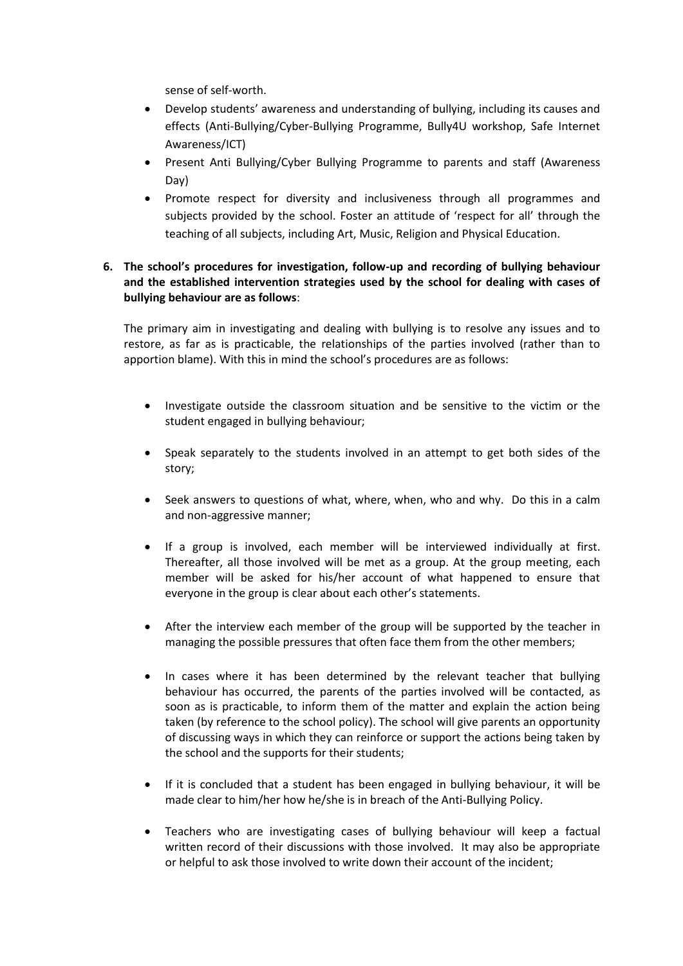sense of self-worth.

- Develop students' awareness and understanding of bullying, including its causes and effects (Anti-Bullying/Cyber-Bullying Programme, Bully4U workshop, Safe Internet Awareness/ICT)
- Present Anti Bullying/Cyber Bullying Programme to parents and staff (Awareness Day)
- Promote respect for diversity and inclusiveness through all programmes and subjects provided by the school. Foster an attitude of 'respect for all' through the teaching of all subjects, including Art, Music, Religion and Physical Education.

### **6. The school's procedures for investigation, follow-up and recording of bullying behaviour and the established intervention strategies used by the school for dealing with cases of bullying behaviour are as follows**:

The primary aim in investigating and dealing with bullying is to resolve any issues and to restore, as far as is practicable, the relationships of the parties involved (rather than to apportion blame). With this in mind the school's procedures are as follows:

- Investigate outside the classroom situation and be sensitive to the victim or the student engaged in bullying behaviour;
- Speak separately to the students involved in an attempt to get both sides of the story;
- Seek answers to questions of what, where, when, who and why. Do this in a calm and non-aggressive manner;
- If a group is involved, each member will be interviewed individually at first. Thereafter, all those involved will be met as a group. At the group meeting, each member will be asked for his/her account of what happened to ensure that everyone in the group is clear about each other's statements.
- After the interview each member of the group will be supported by the teacher in managing the possible pressures that often face them from the other members;
- In cases where it has been determined by the relevant teacher that bullying behaviour has occurred, the parents of the parties involved will be contacted, as soon as is practicable, to inform them of the matter and explain the action being taken (by reference to the school policy). The school will give parents an opportunity of discussing ways in which they can reinforce or support the actions being taken by the school and the supports for their students;
- If it is concluded that a student has been engaged in bullying behaviour, it will be made clear to him/her how he/she is in breach of the Anti-Bullying Policy.
- Teachers who are investigating cases of bullying behaviour will keep a factual written record of their discussions with those involved. It may also be appropriate or helpful to ask those involved to write down their account of the incident;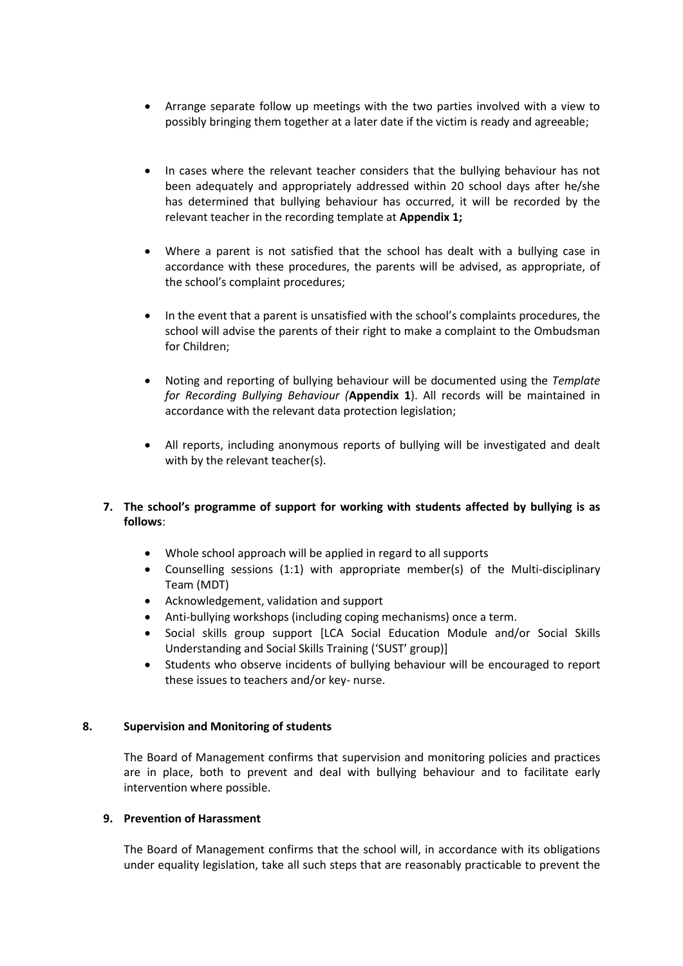- Arrange separate follow up meetings with the two parties involved with a view to possibly bringing them together at a later date if the victim is ready and agreeable;
- In cases where the relevant teacher considers that the bullying behaviour has not been adequately and appropriately addressed within 20 school days after he/she has determined that bullying behaviour has occurred, it will be recorded by the relevant teacher in the recording template at **Appendix 1;**
- Where a parent is not satisfied that the school has dealt with a bullying case in accordance with these procedures, the parents will be advised, as appropriate, of the school's complaint procedures;
- In the event that a parent is unsatisfied with the school's complaints procedures, the school will advise the parents of their right to make a complaint to the Ombudsman for Children;
- Noting and reporting of bullying behaviour will be documented using the *Template for Recording Bullying Behaviour (***Appendix 1**). All records will be maintained in accordance with the relevant data protection legislation;
- All reports, including anonymous reports of bullying will be investigated and dealt with by the relevant teacher(s).

### **7. The school's programme of support for working with students affected by bullying is as follows**:

- Whole school approach will be applied in regard to all supports
- Counselling sessions (1:1) with appropriate member(s) of the Multi-disciplinary Team (MDT)
- Acknowledgement, validation and support
- Anti-bullying workshops (including coping mechanisms) once a term.
- Social skills group support [LCA Social Education Module and/or Social Skills Understanding and Social Skills Training ('SUST' group)]
- Students who observe incidents of bullying behaviour will be encouraged to report these issues to teachers and/or key- nurse.

#### **8. Supervision and Monitoring of students**

The Board of Management confirms that supervision and monitoring policies and practices are in place, both to prevent and deal with bullying behaviour and to facilitate early intervention where possible.

#### **9. Prevention of Harassment**

The Board of Management confirms that the school will, in accordance with its obligations under equality legislation, take all such steps that are reasonably practicable to prevent the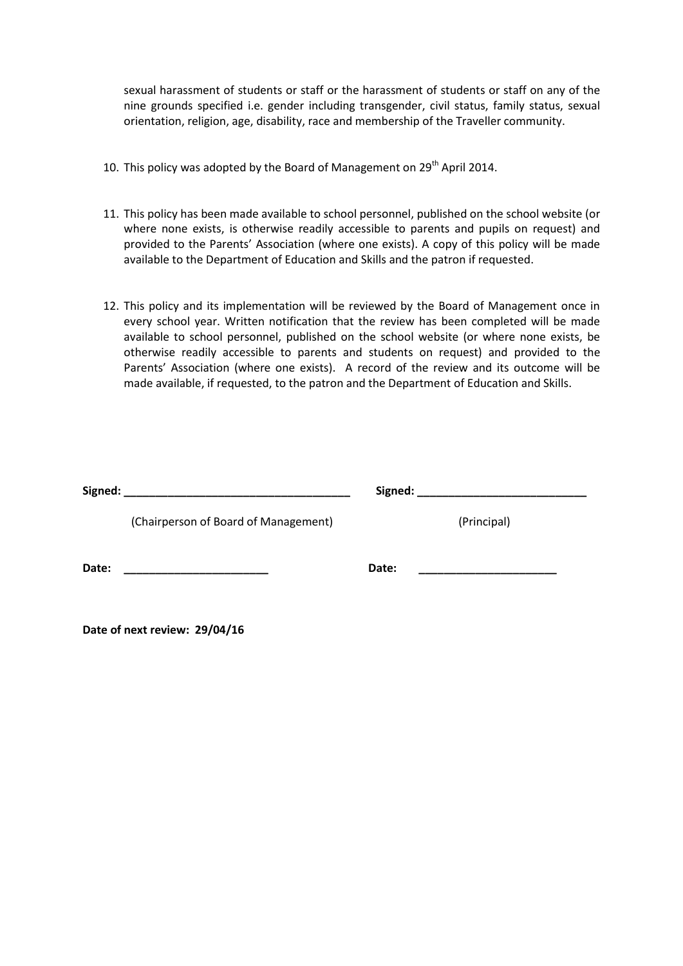sexual harassment of students or staff or the harassment of students or staff on any of the nine grounds specified i.e. gender including transgender, civil status, family status, sexual orientation, religion, age, disability, race and membership of the Traveller community.

- 10. This policy was adopted by the Board of Management on  $29<sup>th</sup>$  April 2014.
- 11. This policy has been made available to school personnel, published on the school website (or where none exists, is otherwise readily accessible to parents and pupils on request) and provided to the Parents' Association (where one exists). A copy of this policy will be made available to the Department of Education and Skills and the patron if requested.
- 12. This policy and its implementation will be reviewed by the Board of Management once in every school year. Written notification that the review has been completed will be made available to school personnel, published on the school website (or where none exists, be otherwise readily accessible to parents and students on request) and provided to the Parents' Association (where one exists). A record of the review and its outcome will be made available, if requested, to the patron and the Department of Education and Skills.

| Signed: | <u> 1980 - Andrea Andrew Maria (h. 1980).</u> |       |             |
|---------|-----------------------------------------------|-------|-------------|
|         | (Chairperson of Board of Management)          |       | (Principal) |
| Date:   |                                               | Date: |             |

**Date of next review: 29/04/16**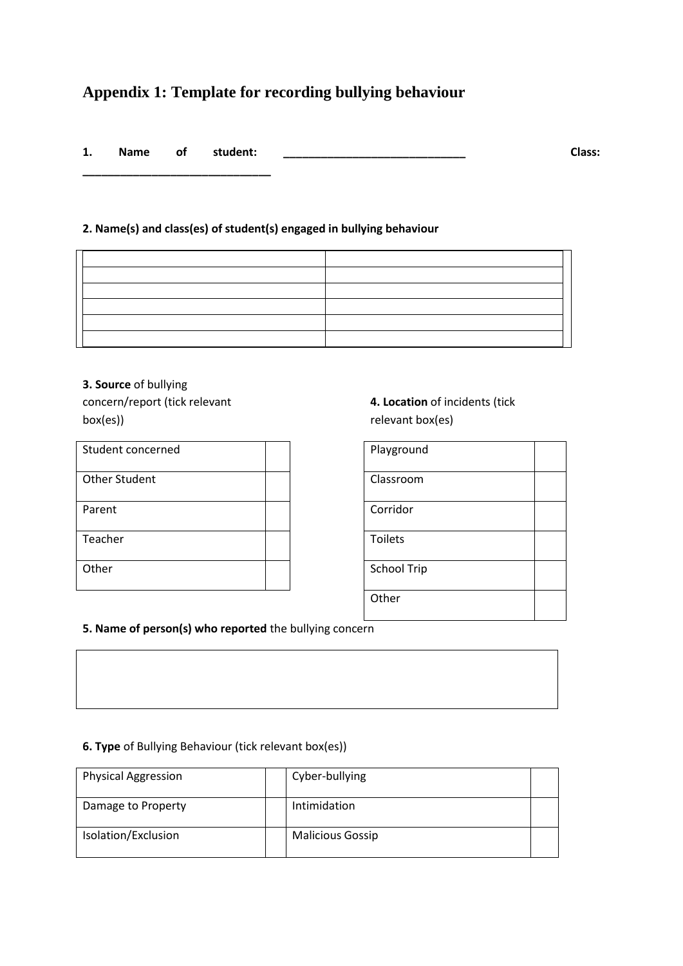# **Appendix 1: Template for recording bullying behaviour**

| ı. | <b>Name</b> | οt | student: | Class: |
|----|-------------|----|----------|--------|
|    |             |    |          |        |

## **2. Name(s) and class(es) of student(s) engaged in bullying behaviour**

**3. Source** of bullying concern/report (tick relevant box(es))

**\_\_\_\_\_\_\_\_\_\_\_\_\_\_\_\_\_\_\_\_\_\_\_\_\_\_\_\_\_\_**

| Student concerned    |  | Playground     |
|----------------------|--|----------------|
| <b>Other Student</b> |  | Classroom      |
| Parent               |  | Corridor       |
| Teacher              |  | <b>Toilets</b> |
| Other                |  | School Trip    |

## **4. Location** of incidents (tick relevant box(es)

| Playground         |  |
|--------------------|--|
| Classroom          |  |
| Corridor           |  |
| <b>Toilets</b>     |  |
| <b>School Trip</b> |  |
| Other              |  |

**5. Name of person(s) who reported** the bullying concern

#### **6. Type** of Bullying Behaviour (tick relevant box(es))

| <b>Physical Aggression</b> | Cyber-bullying          |
|----------------------------|-------------------------|
| Damage to Property         | Intimidation            |
| Isolation/Exclusion        | <b>Malicious Gossip</b> |